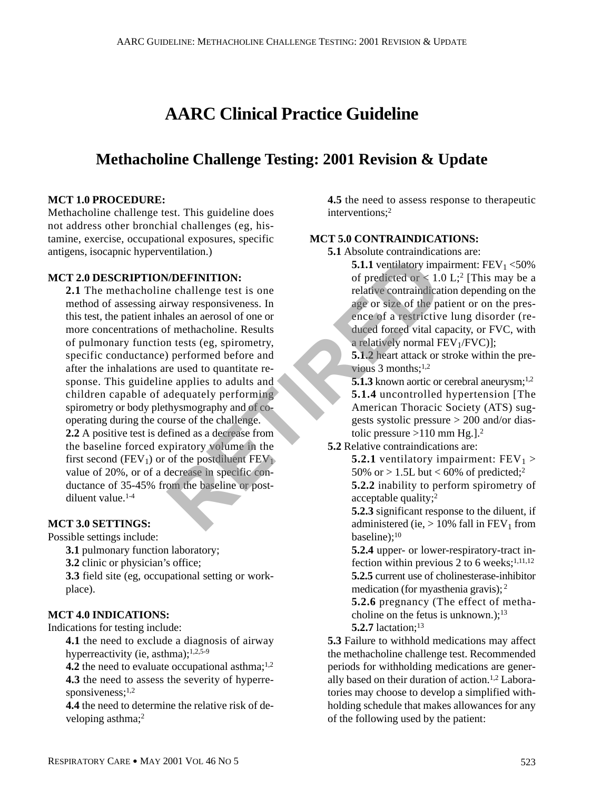# **AARC Clinical Practice Guideline**

## **Methacholine Challenge Testing: 2001 Revision & Update**

#### **MCT 1.0 PROCEDURE:**

Methacholine challenge test. This guideline does not address other bronchial challenges (eg, histamine, exercise, occupational exposures, specific antigens, isocapnic hyperventilation.)

#### **MCT 2.0 DESCRIPTION/DEFINITION:**

**2.1** The methacholine challenge test is one method of assessing airway responsiveness. In this test, the patient inhales an aerosol of one or more concentrations of methacholine. Results of pulmonary function tests (eg, spirometry, specific conductance) performed before and after the inhalations are used to quantitate response. This guideline applies to adults and children capable of adequately performing spirometry or body plethysmography and of cooperating during the course of the challenge. **2.2** A positive test is defined as a decrease from the baseline forced expiratory volume in the first second (FEV<sub>1</sub>) or of the postdiluent FEV<sub>1</sub>) value of 20%, or of a decrease in specific conductance of 35-45% from the baseline or postdiluent value.1-4 **EXERCISE A**<br> **REFINITION:**<br> **REFINITION:**<br> **REFINITION:**<br> **REFINITION:**<br> **REFINITION:**<br> **REFINITION:**<br> **REFINITION:**<br> **REFINITION:**<br> **REFINITION:**<br> **REFINITION:**<br> **REFINITION:**<br> **REFINITION:**<br> **REFINITION:**<br> **REFINITION:** 

#### **MCT 3.0 SETTINGS:**

Possible settings include:

**3.1** pulmonary function laboratory;

**3.2** clinic or physician's office;

**3.3** field site (eg, occupational setting or workplace).

#### **MCT 4.0 INDICATIONS:**

Indications for testing include:

**4.1** the need to exclude a diagnosis of airway hyperreactivity (ie, asthma);<sup>1,2,5-9</sup>

**4.2** the need to evaluate occupational asthma;<sup>1,2</sup> **4.3** the need to assess the severity of hyperresponsiveness; $1,2$ 

**4.4** the need to determine the relative risk of developing asthma;<sup>2</sup>

**4.5** the need to assess response to therapeutic interventions;2

#### **MCT 5.0 CONTRAINDICATIONS:**

**5.1** Absolute contraindications are:

**5.1.1** ventilatory impairment:  $FEV_1 < 50\%$ of predicted or  $\lt 1.0$  L;<sup>2</sup> [This may be a relative contraindication depending on the age or size of the patient or on the presence of a restrictive lung disorder (reduced forced vital capacity, or FVC, with a relatively normal  $FEV<sub>1</sub>/FVC$ ];

**5.1.2** heart attack or stroke within the previous  $3$  months;<sup>1,2</sup>

**5.1.3** known aortic or cerebral aneurysm;<sup>1,2</sup> **5.1.4** uncontrolled hypertension [The American Thoracic Society (ATS) suggests systolic pressure > 200 and/or diastolic pressure  $>110$  mm Hg.  $]$ .<sup>2</sup>

**5.2** Relative contraindications are:

**5.2.1** ventilatory impairment:  $FEV_1 >$ 50% or  $> 1.5L$  but < 60% of predicted;<sup>2</sup> **5.2.2** inability to perform spirometry of acceptable quality;2

**5.2.3** significant response to the diluent, if administered (ie,  $> 10\%$  fall in FEV<sub>1</sub> from baseline);<sup>10</sup>

**5.2.4** upper- or lower-respiratory-tract infection within previous 2 to 6 weeks; $^{1,11,12}$ **5.2.5** current use of cholinesterase-inhibitor medication (for myasthenia gravis); <sup>2</sup>

**5.2.6** pregnancy (The effect of methacholine on the fetus is unknown.); $13$ **5.2.7** lactation:<sup>13</sup>

**5.3** Failure to withhold medications may affect the methacholine challenge test. Recommended periods for withholding medications are generally based on their duration of action.1,2 Laboratories may choose to develop a simplified withholding schedule that makes allowances for any of the following used by the patient: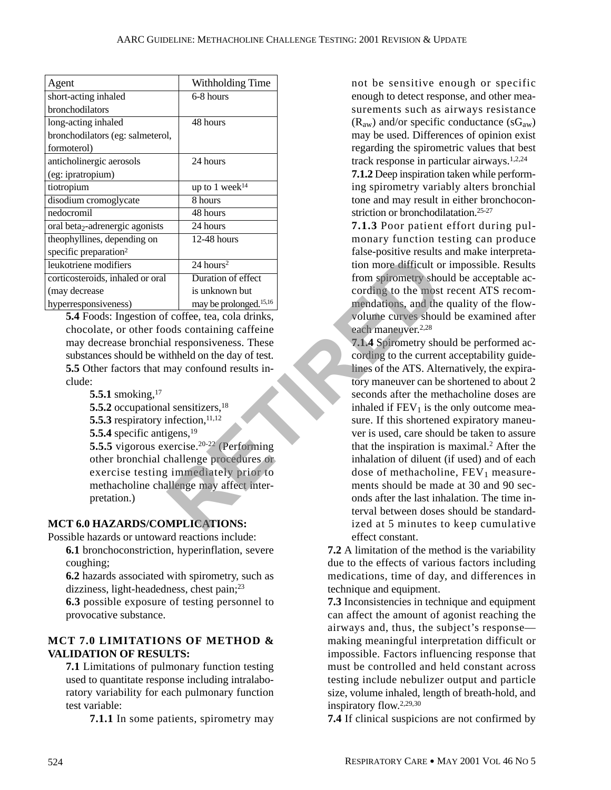| Agent                                       | Withholding Time                   |
|---------------------------------------------|------------------------------------|
| short-acting inhaled                        | 6-8 hours                          |
| bronchodilators                             |                                    |
| long-acting inhaled                         | 48 hours                           |
| bronchodilators (eg: salmeterol,            |                                    |
| formoterol)                                 |                                    |
| anticholinergic aerosols                    | 24 hours                           |
| (eg: ipratropium)                           |                                    |
| tiotropium                                  | up to 1 week <sup>14</sup>         |
| disodium cromoglycate                       | 8 hours                            |
| nedocromil                                  | 48 hours                           |
| oral beta <sub>2</sub> -adrenergic agonists | 24 hours                           |
| theophyllines, depending on                 | $12-48$ hours                      |
| specific preparation <sup>2</sup>           |                                    |
| leukotriene modifiers                       | $24$ hours <sup>2</sup>            |
| corticosteroids, inhaled or oral            | Duration of effect                 |
| (may decrease                               | is unknown but                     |
| hyperresponsiveness)                        | may be prolonged. <sup>15,16</sup> |

**5.4** Foods: Ingestion of coffee, tea, cola drinks, chocolate, or other foods containing caffeine may decrease bronchial responsiveness. These substances should be withheld on the day of test. **5.5** Other factors that may confound results include:

- **5.5.1** smoking,<sup>17</sup>
- **5.5.2** occupational sensitizers,<sup>18</sup>
- **5.5.3** respiratory infection, <sup>11,12</sup>
- **5.5.4** specific antigens,<sup>19</sup>

**5.5.5** vigorous exercise.<sup>20-22</sup> (Performing other bronchial challenge procedures or exercise testing immediately prior to methacholine challenge may affect interpretation.)

### **MCT 6.0 HAZARDS/COMPLICATIONS:**

Possible hazards or untoward reactions include:

**6.1** bronchoconstriction, hyperinflation, severe coughing;

**6.2** hazards associated with spirometry, such as dizziness, light-headedness, chest pain;<sup>23</sup>

**6.3** possible exposure of testing personnel to provocative substance.

#### **MCT 7.0 LIMITATIONS OF METHOD & VALIDATION OF RESULTS:**

**7.1** Limitations of pulmonary function testing used to quantitate response including intralaboratory variability for each pulmonary function test variable:

**7.1.1** In some patients, spirometry may

not be sensitive enough or specific enough to detect response, and other measurements such as airways resistance  $(R<sub>aw</sub>)$  and/or specific conductance  $(sG<sub>aw</sub>)$ may be used. Differences of opinion exist regarding the spirometric values that best track response in particular airways.1,2,24

**7.1.2** Deep inspiration taken while performing spirometry variably alters bronchial tone and may result in either bronchoconstriction or bronchodilatation.<sup>25-27</sup>

**7.1.3** Poor patient effort during pulmonary function testing can produce false-positive results and make interpretation more difficult or impossible. Results from spirometry should be acceptable according to the most recent ATS recommendations, and the quality of the flowvolume curves should be examined after each maneuver.<sup>2,28</sup>

**7.1.4** Spirometry should be performed according to the current acceptability guidelines of the ATS. Alternatively, the expiratory maneuver can be shortened to about 2 seconds after the methacholine doses are inhaled if  $FEV<sub>1</sub>$  is the only outcome measure. If this shortened expiratory maneuver is used, care should be taken to assure that the inspiration is maximal.2 After the inhalation of diluent (if used) and of each dose of methacholine,  $FEV<sub>1</sub>$  measurements should be made at 30 and 90 seconds after the last inhalation. The time interval between doses should be standardized at 5 minutes to keep cumulative effect constant. 24 hours<sup>2</sup><br>
tion more difficult of<br>
is unknown but<br>
in more difficult of<br>
is unknown but<br>
may be prolonged.<sup>15,16</sup><br>
is unknown but<br>
may confing to the most<br>
mendations, and the<br>
volume curves shoul<br>
cording to the domaini

**7.2** A limitation of the method is the variability due to the effects of various factors including medications, time of day, and differences in technique and equipment.

**7.3** Inconsistencies in technique and equipment can affect the amount of agonist reaching the airways and, thus, the subject's response making meaningful interpretation difficult or impossible. Factors influencing response that must be controlled and held constant across testing include nebulizer output and particle size, volume inhaled, length of breath-hold, and inspiratory flow.2,29,30

**7.4** If clinical suspicions are not confirmed by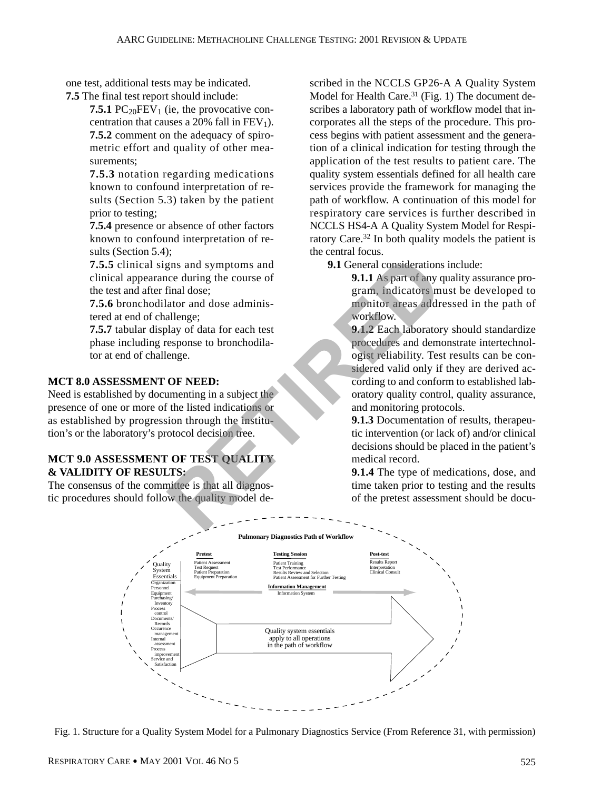one test, additional tests may be indicated. **7.5** The final test report should include:

**7.5.1** PC<sub>20</sub>FEV<sub>1</sub> (ie, the provocative concentration that causes a 20% fall in  $FEV<sub>1</sub>$ ). **7.5.2** comment on the adequacy of spirometric effort and quality of other measurements;

**7.5.3** notation regarding medications known to confound interpretation of results (Section 5.3) taken by the patient prior to testing;

**7.5.4** presence or absence of other factors known to confound interpretation of results (Section 5.4);

**7.5.5** clinical signs and symptoms and clinical appearance during the course of the test and after final dose;

**7.5.6** bronchodilator and dose administered at end of challenge;

**7.5.7** tabular display of data for each test phase including response to bronchodilator at end of challenge.

#### **MCT 8.0 ASSESSMENT OF NEED:**

Need is established by documenting in a subject the presence of one or more of the listed indications or as established by progression through the institution's or the laboratory's protocol decision tree.

#### **MCT 9.0 ASSESSMENT OF TEST QUALITY & VALIDITY OF RESULTS:**

The consensus of the committee is that all diagnostic procedures should follow the quality model described in the NCCLS GP26-A A Quality System Model for Health Care.<sup>31</sup> (Fig. 1) The document describes a laboratory path of workflow model that incorporates all the steps of the procedure. This process begins with patient assessment and the generation of a clinical indication for testing through the application of the test results to patient care. The quality system essentials defined for all health care services provide the framework for managing the path of workflow. A continuation of this model for respiratory care services is further described in NCCLS HS4-A A Quality System Model for Respiratory Care.32 In both quality models the patient is the central focus.

**9.1** General considerations include:

**9.1.1** As part of any quality assurance program, indicators must be developed to monitor areas addressed in the path of workflow.

**9.1.2** Each laboratory should standardize procedures and demonstrate intertechnologist reliability. Test results can be considered valid only if they are derived according to and conform to established laboratory quality control, quality assurance, and monitoring protocols. Final dose;<br>
The and symptoms and<br>
the course of<br>
timal dose;<br>
ator and dose administrations<br>
ator and dose administrations<br>
ator and dose administrations<br>
and the symptoms in monitor areas addressing to and confor-<br>
expos

**9.1.3** Documentation of results, therapeutic intervention (or lack of) and/or clinical decisions should be placed in the patient's medical record.

**9.1.4** The type of medications, dose, and time taken prior to testing and the results of the pretest assessment should be docu-



Fig. 1. Structure for a Quality System Model for a Pulmonary Diagnostics Service (From Reference 31, with permission)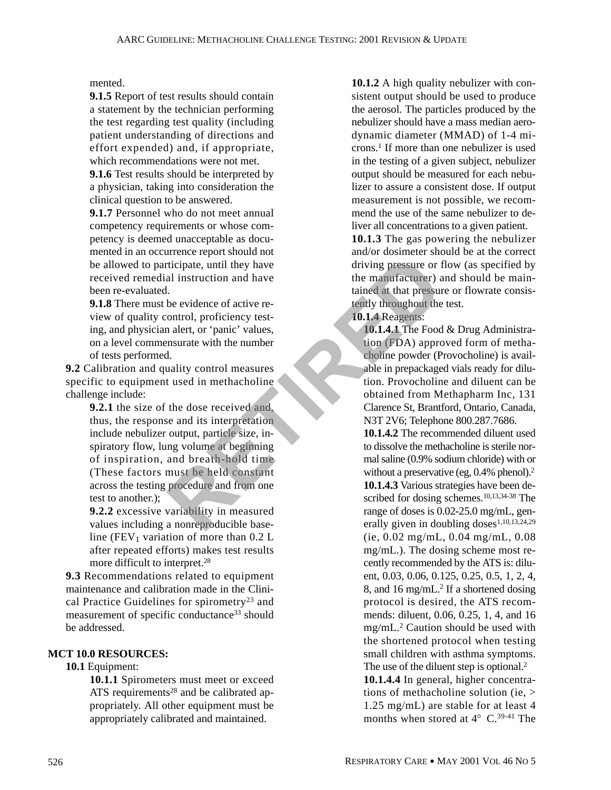mented.

**9.1.5** Report of test results should contain a statement by the technician performing the test regarding test quality (including patient understanding of directions and effort expended) and, if appropriate, which recommendations were not met.

**9.1.6** Test results should be interpreted by a physician, taking into consideration the clinical question to be answered.

**9.1.7** Personnel who do not meet annual competency requirements or whose competency is deemed unacceptable as documented in an occurrence report should not be allowed to participate, until they have received remedial instruction and have been re-evaluated.

**9.1.8** There must be evidence of active review of quality control, proficiency testing, and physician alert, or 'panic' values, on a level commensurate with the number of tests performed.

**9.2** Calibration and quality control measures specific to equipment used in methacholine challenge include:

**9.2.1** the size of the dose received and, thus, the response and its interpretation include nebulizer output, particle size, inspiratory flow, lung volume at beginning of inspiration, and breath-hold time (These factors must be held constant across the testing procedure and from one test to another.); Example the priorium of the dose received and form one contration of the manufacturer)<br>
all instruction and have the manufacturer) and have the manufacturer) and the time of the control, proficiency test-<br>
all inter, or 'p

**9.2.2** excessive variability in measured values including a nonreproducible baseline (FEV<sub>1</sub> variation of more than  $0.2$  L after repeated efforts) makes test results more difficult to interpret.<sup>28</sup>

**9.3** Recommendations related to equipment maintenance and calibration made in the Clinical Practice Guidelines for spirometry<sup>23</sup> and measurement of specific conductance<sup>33</sup> should be addressed.

#### **MCT 10.0 RESOURCES:**

#### **10.1** Equipment:

**10.1.1** Spirometers must meet or exceed ATS requirements<sup>28</sup> and be calibrated appropriately. All other equipment must be appropriately calibrated and maintained.

**10.1.2** A high quality nebulizer with consistent output should be used to produce the aerosol. The particles produced by the nebulizer should have a mass median aerodynamic diameter (MMAD) of 1-4 microns.1 If more than one nebulizer is used in the testing of a given subject, nebulizer output should be measured for each nebulizer to assure a consistent dose. If output measurement is not possible, we recommend the use of the same nebulizer to deliver all concentrations to a given patient.

**10.1.3** The gas powering the nebulizer and/or dosimeter should be at the correct driving pressure or flow (as specified by the manufacturer) and should be maintained at that pressure or flowrate consistently throughout the test.

**10.1.4** Reagents:

**10.1.4.1** The Food & Drug Administration (FDA) approved form of methacholine powder (Provocholine) is available in prepackaged vials ready for dilution. Provocholine and diluent can be obtained from Methapharm Inc, 131 Clarence St, Brantford, Ontario, Canada, N3T 2V6; Telephone 800.287.7686.

**10.1.4.2** The recommended diluent used to dissolve the methacholine is sterile normal saline (0.9% sodium chloride) with or without a preservative (eg, 0.4% phenol).<sup>2</sup> **10.1.4.3** Various strategies have been described for dosing schemes.<sup>10,13,34-38</sup> The range of doses is 0.02-25.0 mg/mL, generally given in doubling doses $1,10,13,24,29$ (ie, 0.02 mg/mL, 0.04 mg/mL, 0.08 mg/mL.). The dosing scheme most recently recommended by the ATS is: diluent, 0.03, 0.06, 0.125, 0.25, 0.5, 1, 2, 4, 8, and 16 mg/mL<sup>2</sup> If a shortened dosing protocol is desired, the ATS recommends: diluent, 0.06, 0.25, 1, 4, and 16 mg/mL.2 Caution should be used with the shortened protocol when testing small children with asthma symptoms. The use of the diluent step is optional.<sup>2</sup> **10.1.4.4** In general, higher concentrations of methacholine solution (ie, > 1.25 mg/mL) are stable for at least 4

months when stored at  $4^{\circ}$  C.<sup>39-41</sup> The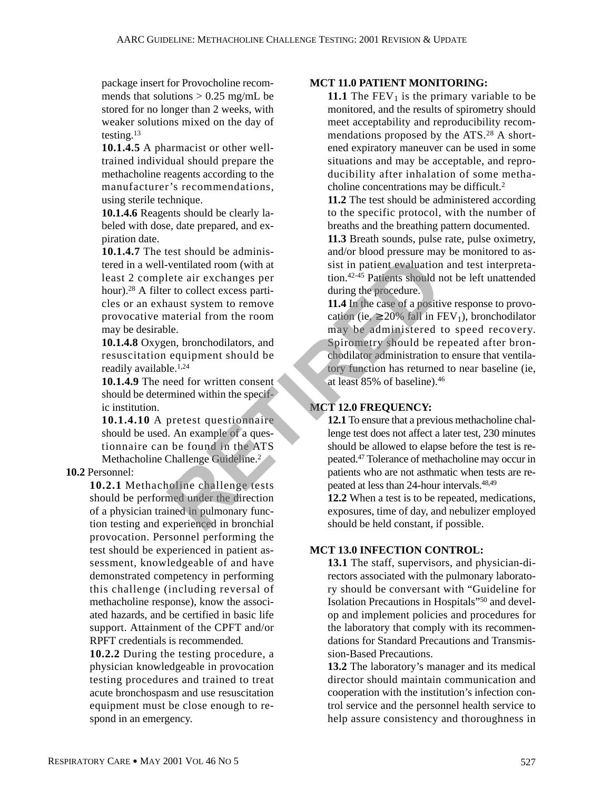package insert for Provocholine recommends that solutions  $> 0.25$  mg/mL be stored for no longer than 2 weeks, with weaker solutions mixed on the day of testing.13

**10.1.4.5** A pharmacist or other welltrained individual should prepare the methacholine reagents according to the manufacturer's recommendations, using sterile technique.

**10.1.4.6** Reagents should be clearly labeled with dose, date prepared, and expiration date.

**10.1.4.7** The test should be administered in a well-ventilated room (with at least 2 complete air exchanges per hour).28 A filter to collect excess particles or an exhaust system to remove provocative material from the room may be desirable.

**10.1.4.8** Oxygen, bronchodilators, and resuscitation equipment should be readily available. $1,24$ 

**10.1.4.9** The need for written consent should be determined within the specific institution.

**10.1.4.10** A pretest questionnaire should be used. An example of a questionnaire can be found in the ATS Methacholine Challenge Guideline.2

#### **10.2** Personnel:

**10.2.1** Methacholine challenge tests should be performed under the direction of a physician trained in pulmonary function testing and experienced in bronchial provocation. Personnel performing the test should be experienced in patient assessment, knowledgeable of and have demonstrated competency in performing this challenge (including reversal of methacholine response), know the associated hazards, and be certified in basic life support. Attainment of the CPFT and/or RPFT credentials is recommended.

**10.2.2** During the testing procedure, a physician knowledgeable in provocation testing procedures and trained to treat acute bronchospasm and use resuscitation equipment must be close enough to respond in an emergency.

#### **MCT 11.0 PATIENT MONITORING:**

**11.1** The  $FEV_1$  is the primary variable to be monitored, and the results of spirometry should meet acceptability and reproducibility recommendations proposed by the ATS.28 A shortened expiratory maneuver can be used in some situations and may be acceptable, and reproducibility after inhalation of some methacholine concentrations may be difficult.2

**11.2** The test should be administered according to the specific protocol, with the number of breaths and the breathing pattern documented.

**11.3** Breath sounds, pulse rate, pulse oximetry, and/or blood pressure may be monitored to assist in patient evaluation and test interpretation.42-45 Patients should not be left unattended during the procedure.

**11.4** In the case of a positive response to provocation (ie,  $\geq$  20% fall in FEV<sub>1</sub>), bronchodilator may be administered to speed recovery. Spirometry should be repeated after bronchodilator administration to ensure that ventilatory function has returned to near baseline (ie, at least 85% of baseline).46 From the collect excess particles air exchanges per<br>
reto collect excess particles air exchanges per<br>
reto collect excess particles air exchanges per<br>
and the collect excess particles air during the procedure.<br>
II.4 In the

#### **MCT 12.0 FREQUENCY:**

**12.1** To ensure that a previous methacholine challenge test does not affect a later test, 230 minutes should be allowed to elapse before the test is repeated.47 Tolerance of methacholine may occur in patients who are not asthmatic when tests are repeated at less than 24-hour intervals.48,49

**12.2** When a test is to be repeated, medications, exposures, time of day, and nebulizer employed should be held constant, if possible.

#### **MCT 13.0 INFECTION CONTROL:**

**13.1** The staff, supervisors, and physician-directors associated with the pulmonary laboratory should be conversant with "Guideline for Isolation Precautions in Hospitals"50 and develop and implement policies and procedures for the laboratory that comply with its recommendations for Standard Precautions and Transmission-Based Precautions.

**13.2** The laboratory's manager and its medical director should maintain communication and cooperation with the institution's infection control service and the personnel health service to help assure consistency and thoroughness in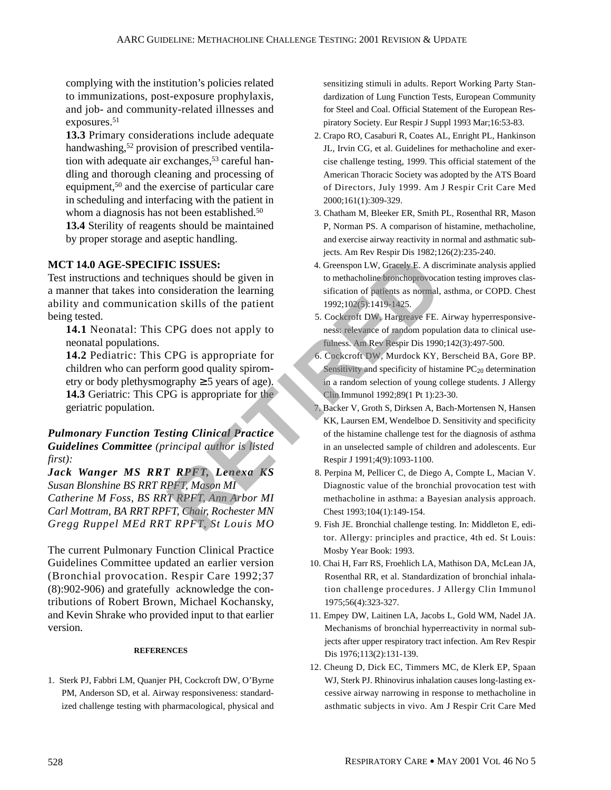complying with the institution's policies related to immunizations, post-exposure prophylaxis, and job- and community-related illnesses and exposures.<sup>51</sup>

**13.3** Primary considerations include adequate handwashing,<sup>52</sup> provision of prescribed ventilation with adequate air exchanges,  $53$  careful handling and thorough cleaning and processing of equipment,<sup>50</sup> and the exercise of particular care in scheduling and interfacing with the patient in whom a diagnosis has not been established.<sup>50</sup>

**13.4** Sterility of reagents should be maintained by proper storage and aseptic handling.

#### **MCT 14.0 AGE-SPECIFIC ISSUES:**

Test instructions and techniques should be given in a manner that takes into consideration the learning ability and communication skills of the patient being tested.

**14.1** Neonatal: This CPG does not apply to neonatal populations.

**14.2** Pediatric: This CPG is appropriate for children who can perform good quality spirometry or body plethysmography  $\geq$  5 years of age). **14.3** Geriatric: This CPG is appropriate for the geriatric population.

#### *Pulmonary Function Testing Clinical Practice Guidelines Committee (principal author is listed first):*

*Jack Wanger MS RRT RPFT, Lenexa KS Susan Blonshine BS RRT RPFT, Mason MI Catherine M Foss, BS RRT RPFT, Ann Arbor MI Carl Mottram, BA RRT RPFT, Chair, Rochester MN Gregg Ruppel MEd RRT RPFT, St Louis MO*

The current Pulmonary Function Clinical Practice Guidelines Committee updated an earlier version (Bronchial provocation. Respir Care 1992;37 (8):902-906) and gratefully acknowledge the contributions of Robert Brown, Michael Kochansky, and Kevin Shrake who provided input to that earlier version.

#### **REFERENCES**

1. Sterk PJ, Fabbri LM, Quanjer PH, Cockcroft DW, O'Byrne PM, Anderson SD, et al. Airway responsiveness: standardized challenge testing with pharmacological, physical and sensitizing stimuli in adults. Report Working Party Standardization of Lung Function Tests, European Community for Steel and Coal. Official Statement of the European Respiratory Society. Eur Respir J Suppl 1993 Mar;16:53-83.

- 2. Crapo RO, Casaburi R, Coates AL, Enright PL, Hankinson JL, Irvin CG, et al. Guidelines for methacholine and exercise challenge testing, 1999. This official statement of the American Thoracic Society was adopted by the ATS Board of Directors, July 1999. Am J Respir Crit Care Med 2000;161(1):309-329.
- 3. Chatham M, Bleeker ER, Smith PL, Rosenthal RR, Mason P, Norman PS. A comparison of histamine, methacholine, and exercise airway reactivity in normal and asthmatic subjects. Am Rev Respir Dis 1982;126(2):235-240.
- 4. Greenspon LW, Gracely E. A discriminate analysis applied to methacholine bronchoprovocation testing improves classification of patients as normal, asthma, or COPD. Chest 1992;102(5):1419-1425.
- 5. Cockcroft DW, Hargreave FE. Airway hyperresponsiveness: relevance of random population data to clinical usefulness. Am Rev Respir Dis 1990;142(3):497-500.
- 6. Cockcroft DW, Murdock KY, Berscheid BA, Gore BP. Sensitivity and specificity of histamine  $PC_{20}$  determination in a random selection of young college students. J Allergy Clin Immunol 1992;89(1 Pt 1):23-30.
- 7. Backer V, Groth S, Dirksen A, Bach-Mortensen N, Hansen KK, Laursen EM, Wendelboe D. Sensitivity and specificity of the histamine challenge test for the diagnosis of asthma in an unselected sample of children and adolescents. Eur Respir J 1991;4(9):1093-1100. **EXECUTE:**<br>
A Greenspon LW, Gracely E. A disingues should be given in<br>
to methacholine bronchoprovocation<br>
singles should be given in<br>
to methacholine bronchoprovocation<br>
sing on skills of the patient<br>  $1992;102(3);1419;142$ 
	- 8. Perpina M, Pellicer C, de Diego A, Compte L, Macian V. Diagnostic value of the bronchial provocation test with methacholine in asthma: a Bayesian analysis approach. Chest 1993;104(1):149-154.
	- 9. Fish JE. Bronchial challenge testing. In: Middleton E, editor. Allergy: principles and practice, 4th ed. St Louis: Mosby Year Book: 1993.
	- 10. Chai H, Farr RS, Froehlich LA, Mathison DA, McLean JA, Rosenthal RR, et al. Standardization of bronchial inhalation challenge procedures. J Allergy Clin Immunol 1975;56(4):323-327.
	- 11. Empey DW, Laitinen LA, Jacobs L, Gold WM, Nadel JA. Mechanisms of bronchial hyperreactivity in normal subjects after upper respiratory tract infection. Am Rev Respir Dis 1976;113(2):131-139.
	- 12. Cheung D, Dick EC, Timmers MC, de Klerk EP, Spaan WJ, Sterk PJ. Rhinovirus inhalation causes long-lasting excessive airway narrowing in response to methacholine in asthmatic subjects in vivo. Am J Respir Crit Care Med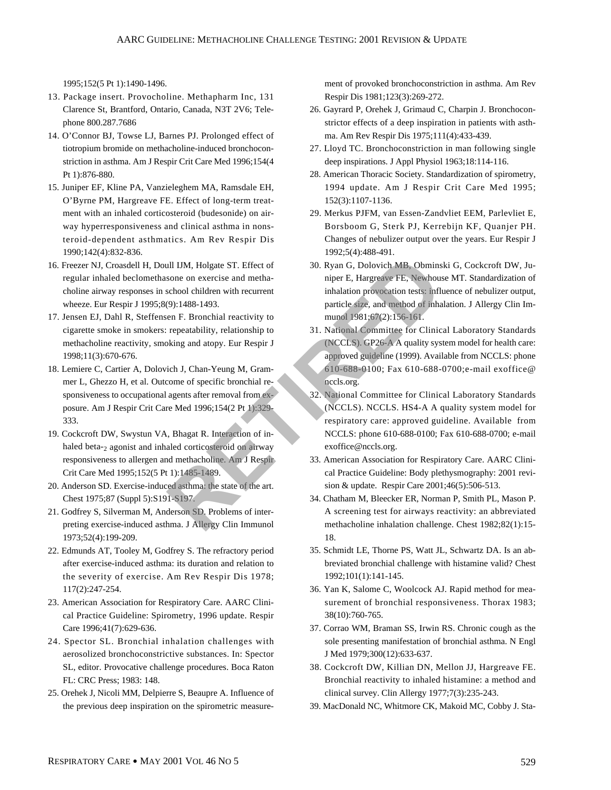1995;152(5 Pt 1):1490-1496.

- 13. Package insert. Provocholine. Methapharm Inc, 131 Clarence St, Brantford, Ontario, Canada, N3T 2V6; Telephone 800.287.7686
- 14. O'Connor BJ, Towse LJ, Barnes PJ. Prolonged effect of tiotropium bromide on methacholine-induced bronchoconstriction in asthma. Am J Respir Crit Care Med 1996;154(4 Pt 1):876-880.
- 15. Juniper EF, Kline PA, Vanzieleghem MA, Ramsdale EH, O'Byrne PM, Hargreave FE. Effect of long-term treatment with an inhaled corticosteroid (budesonide) on airway hyperresponsiveness and clinical asthma in nonsteroid-dependent asthmatics. Am Rev Respir Dis 1990;142(4):832-836.
- 16. Freezer NJ, Croasdell H, Doull IJM, Holgate ST. Effect of regular inhaled beclomethasone on exercise and methacholine airway responses in school children with recurrent wheeze. Eur Respir J 1995;8(9):1488-1493.
- 17. Jensen EJ, Dahl R, Steffensen F. Bronchial reactivity to cigarette smoke in smokers: repeatability, relationship to methacholine reactivity, smoking and atopy. Eur Respir J 1998;11(3):670-676.
- 18. Lemiere C, Cartier A, Dolovich J, Chan-Yeung M, Grammer L, Ghezzo H, et al. Outcome of specific bronchial responsiveness to occupational agents after removal from exposure. Am J Respir Crit Care Med 1996;154(2 Pt 1):329- 333.
- 19. Cockcroft DW, Swystun VA, Bhagat R. Interaction of inhaled beta-2 agonist and inhaled corticosteroid on airway responsiveness to allergen and methacholine. Am J Respir Crit Care Med 1995;152(5 Pt 1):1485-1489.
- 20. Anderson SD. Exercise-induced asthma: the state of the art. Chest 1975;87 (Suppl 5):S191-S197.
- 21. Godfrey S, Silverman M, Anderson SD. Problems of interpreting exercise-induced asthma. J Allergy Clin Immunol 1973;52(4):199-209.
- 22. Edmunds AT, Tooley M, Godfrey S. The refractory period after exercise-induced asthma: its duration and relation to the severity of exercise. Am Rev Respir Dis 1978; 117(2):247-254.
- 23. American Association for Respiratory Care. AARC Clinical Practice Guideline: Spirometry, 1996 update. Respir Care 1996;41(7):629-636.
- 24. Spector SL. Bronchial inhalation challenges with aerosolized bronchoconstrictive substances. In: Spector SL, editor. Provocative challenge procedures. Boca Raton FL: CRC Press; 1983: 148.
- 25. Orehek J, Nicoli MM, Delpierre S, Beaupre A. Influence of the previous deep inspiration on the spirometric measure-

ment of provoked bronchoconstriction in asthma. Am Rev Respir Dis 1981;123(3):269-272.

- 26. Gayrard P, Orehek J, Grimaud C, Charpin J. Bronchoconstrictor effects of a deep inspiration in patients with asthma. Am Rev Respir Dis 1975;111(4):433-439.
- 27. Lloyd TC. Bronchoconstriction in man following single deep inspirations. J Appl Physiol 1963;18:114-116.
- 28. American Thoracic Society. Standardization of spirometry, 1994 update. Am J Respir Crit Care Med 1995; 152(3):1107-1136.
- 29. Merkus PJFM, van Essen-Zandvliet EEM, Parlevliet E, Borsboom G, Sterk PJ, Kerrebijn KF, Quanjer PH. Changes of nebulizer output over the years. Eur Respir J 1992;5(4):488-491.
- 30. Ryan G, Dolovich MB, Obminski G, Cockcroft DW, Juniper E, Hargreave FE, Newhouse MT. Standardization of inhalation provocation tests: influence of nebulizer output, particle size, and method of inhalation. J Allergy Clin Immunol 1981;67(2):156-161.
- 31. National Committee for Clinical Laboratory Standards (NCCLS). GP26-A A quality system model for health care: approved guideline (1999). Available from NCCLS: phone 610-688-0100; Fax 610-688-0700;e-mail exoffice@ nccls.org. A Holgate ST. Effect of a SO. Ryan G, Dolovich MB, Obmins<br>
Sone on exercise and methanine riper E, Hargreave FE, Newhous<br>
School children with recurrent inhalation provocation tests: infl.<br>
(9):1488-1493.<br>
The P. Bronchial
	- 32. National Committee for Clinical Laboratory Standards (NCCLS). NCCLS. HS4-A A quality system model for respiratory care: approved guideline. Available from NCCLS: phone 610-688-0100; Fax 610-688-0700; e-mail exoffice@nccls.org.
	- 33. American Association for Respiratory Care. AARC Clinical Practice Guideline: Body plethysmography: 2001 revision & update. Respir Care 2001;46(5):506-513.
	- 34. Chatham M, Bleecker ER, Norman P, Smith PL, Mason P. A screening test for airways reactivity: an abbreviated methacholine inhalation challenge. Chest 1982;82(1):15- 18.
	- 35. Schmidt LE, Thorne PS, Watt JL, Schwartz DA. Is an abbreviated bronchial challenge with histamine valid? Chest 1992;101(1):141-145.
	- 36. Yan K, Salome C, Woolcock AJ. Rapid method for measurement of bronchial responsiveness. Thorax 1983; 38(10):760-765.
	- 37. Corrao WM, Braman SS, Irwin RS. Chronic cough as the sole presenting manifestation of bronchial asthma. N Engl J Med 1979;300(12):633-637.
	- 38. Cockcroft DW, Killian DN, Mellon JJ, Hargreave FE. Bronchial reactivity to inhaled histamine: a method and clinical survey. Clin Allergy 1977;7(3):235-243.
	- 39. MacDonald NC, Whitmore CK, Makoid MC, Cobby J. Sta-